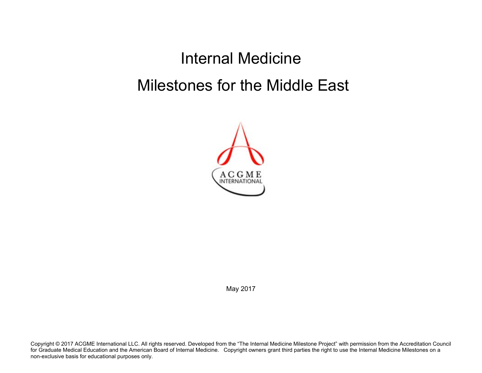Internal Medicine Milestones for the Middle East



May 2017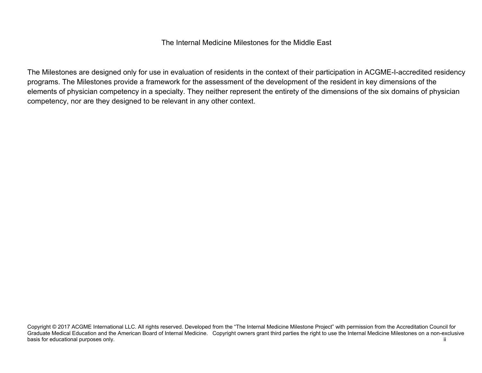## The Internal Medicine Milestones for the Middle East

The Milestones are designed only for use in evaluation of residents in the context of their participation in ACGME-I-accredited residency programs. The Milestones provide a framework for the assessment of the development of the resident in key dimensions of the elements of physician competency in a specialty. They neither represent the entirety of the dimensions of the six domains of physician competency, nor are they designed to be relevant in any other context.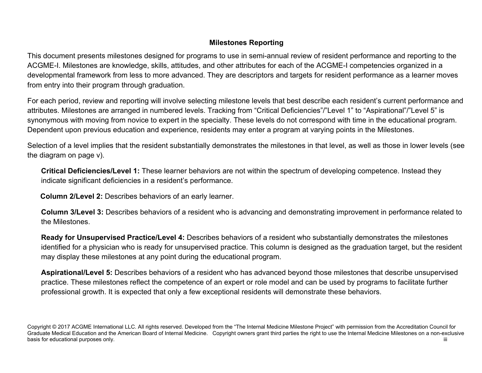## **Milestones Reporting**

This document presents milestones designed for programs to use in semi-annual review of resident performance and reporting to the ACGME-I. Milestones are knowledge, skills, attitudes, and other attributes for each of the ACGME-I competencies organized in a developmental framework from less to more advanced. They are descriptors and targets for resident performance as a learner moves from entry into their program through graduation.

For each period, review and reporting will involve selecting milestone levels that best describe each resident's current performance and attributes. Milestones are arranged in numbered levels. Tracking from "Critical Deficiencies"/"Level 1" to "Aspirational"/"Level 5" is synonymous with moving from novice to expert in the specialty. These levels do not correspond with time in the educational program. Dependent upon previous education and experience, residents may enter a program at varying points in the Milestones.

Selection of a level implies that the resident substantially demonstrates the milestones in that level, as well as those in lower levels (see the diagram on page v).

**Critical Deficiencies/Level 1:** These learner behaviors are not within the spectrum of developing competence. Instead they indicate significant deficiencies in a resident's performance.

 **Column 2/Level 2:** Describes behaviors of an early learner.

**Column 3/Level 3:** Describes behaviors of a resident who is advancing and demonstrating improvement in performance related to the Milestones.

**Ready for Unsupervised Practice/Level 4:** Describes behaviors of a resident who substantially demonstrates the milestones identified for a physician who is ready for unsupervised practice. This column is designed as the graduation target, but the resident may display these milestones at any point during the educational program.

**Aspirational/Level 5:** Describes behaviors of a resident who has advanced beyond those milestones that describe unsupervised practice. These milestones reflect the competence of an expert or role model and can be used by programs to facilitate further professional growth. It is expected that only a few exceptional residents will demonstrate these behaviors.

Copyright © 2017 ACGME International LLC. All rights reserved. Developed from the "The Internal Medicine Milestone Project" with permission from the Accreditation Council for Graduate Medical Education and the American Board of Internal Medicine. Copyright owners grant third parties the right to use the Internal Medicine Milestones on a non-exclusive basis for educational purposes only. **iii** iii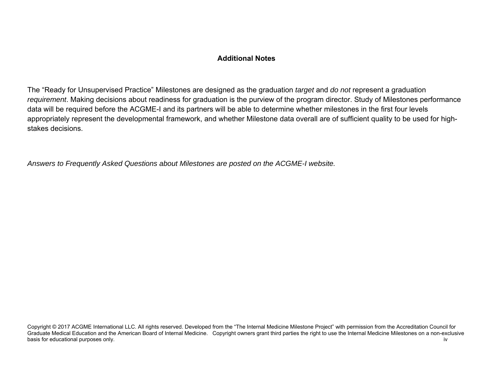## **Additional Notes**

The "Ready for Unsupervised Practice" Milestones are designed as the graduation *target* and *do not* represent a graduation *requirement*. Making decisions about readiness for graduation is the purview of the program director. Study of Milestones performance data will be required before the ACGME-I and its partners will be able to determine whether milestones in the first four levels appropriately represent the developmental framework, and whether Milestone data overall are of sufficient quality to be used for highstakes decisions.

*Answers to Frequently Asked Questions about Milestones are posted on the ACGME-I website.*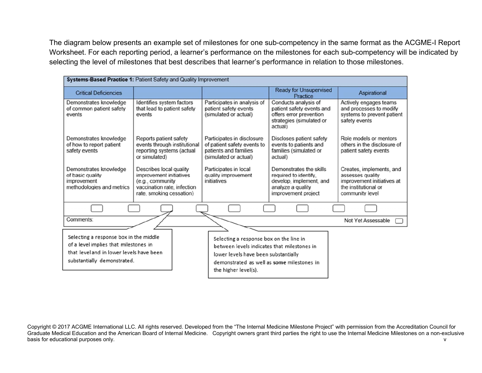The diagram below presents an example set of milestones for one sub-competency in the same format as the ACGME-I Report Worksheet. For each reporting period, a learner's performance on the milestones for each sub-competency will be indicated by selecting the level of milestones that best describes that learner's performance in relation to those milestones.

| Systems-Based Practice 1: Patient Safety and Quality Improvement                                                                                                                                                                                                                                                                                                   |                                                                                                                                   |                                                                                                             |                                                                                                                         |                                                                                                                       |
|--------------------------------------------------------------------------------------------------------------------------------------------------------------------------------------------------------------------------------------------------------------------------------------------------------------------------------------------------------------------|-----------------------------------------------------------------------------------------------------------------------------------|-------------------------------------------------------------------------------------------------------------|-------------------------------------------------------------------------------------------------------------------------|-----------------------------------------------------------------------------------------------------------------------|
| <b>Critical Deficiencies</b>                                                                                                                                                                                                                                                                                                                                       |                                                                                                                                   |                                                                                                             | <b>Ready for Unsupervised</b><br>Practice                                                                               | Aspirational                                                                                                          |
| Demonstrates knowledge<br>of common patient safety<br>events                                                                                                                                                                                                                                                                                                       | Identifies system factors<br>that lead to patient safety<br>events                                                                | Participates in analysis of<br>patient safety events<br>(simulated or actual)                               | Conducts analysis of<br>patient safety events and<br>offers error prevention<br>strategies (simulated or<br>actual)     | Actively engages teams<br>and processes to modify<br>systems to prevent patient<br>safety events                      |
| Demonstrates knowledge<br>of how to report patient<br>safety events                                                                                                                                                                                                                                                                                                | Reports patient safety<br>events through institutional<br>reporting systems (actual<br>or simulated)                              | Participates in disclosure<br>of patient safety events to<br>patients and families<br>(simulated or actual) | Discloses patient safety<br>events to patients and<br>families (simulated or<br>actual)                                 | Role models or mentors<br>others in the disclosure of<br>patient safety events                                        |
| Demonstrates knowledge<br>of basic quality<br>improvement<br>methodologies and metrics                                                                                                                                                                                                                                                                             | Describes local quality<br>improvement initiatives<br>(e.g., community<br>vaccination rate, infection<br>rate, smoking cessation) | Participates in local<br>quality improvement<br>initiatives                                                 | Demonstrates the skills<br>required to identify.<br>develop, implement, and<br>analyze a quality<br>improvement project | Creates, implements, and<br>assesses quality<br>improvement initiatives at<br>the institutional or<br>community level |
|                                                                                                                                                                                                                                                                                                                                                                    |                                                                                                                                   |                                                                                                             |                                                                                                                         |                                                                                                                       |
| Comments:                                                                                                                                                                                                                                                                                                                                                          |                                                                                                                                   |                                                                                                             |                                                                                                                         | Not Yet Assessable                                                                                                    |
| Selecting a response box in the middle<br>Selecting a response box on the line in<br>of a level implies that milestones in<br>between levels indicates that milestones in<br>that level and in lower levels have been<br>lower levels have been substantially<br>substantially demonstrated.<br>demonstrated as well as some milestones in<br>the higher level(s). |                                                                                                                                   |                                                                                                             |                                                                                                                         |                                                                                                                       |

Copyright © 2017 ACGME International LLC. All rights reserved. Developed from the "The Internal Medicine Milestone Project" with permission from the Accreditation Council for Graduate Medical Education and the American Board of Internal Medicine. Copyright owners grant third parties the right to use the Internal Medicine Milestones on a non-exclusive basis for educational purposes only. very contract that the contract of the contract of the contract of the contract of the contract of the contract of the contract of the contract of the contract of the contract of the co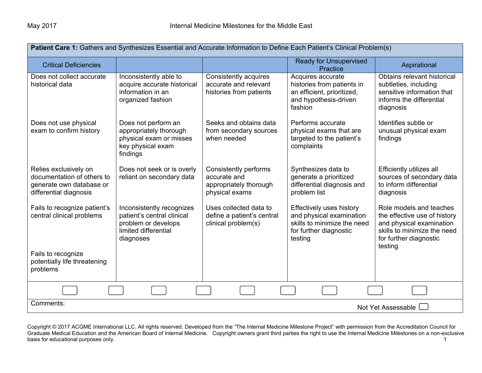| Patient Care 1: Gathers and Synthesizes Essential and Accurate Information to Define Each Patient's Clinical Problem(s) |                                                                                                                     |                                                                                   |                                                                                                                                 |                                                                                                                                                         |
|-------------------------------------------------------------------------------------------------------------------------|---------------------------------------------------------------------------------------------------------------------|-----------------------------------------------------------------------------------|---------------------------------------------------------------------------------------------------------------------------------|---------------------------------------------------------------------------------------------------------------------------------------------------------|
| <b>Critical Deficiencies</b>                                                                                            |                                                                                                                     |                                                                                   | <b>Ready for Unsupervised</b><br>Practice                                                                                       | Aspirational                                                                                                                                            |
| Does not collect accurate<br>historical data                                                                            | Inconsistently able to<br>acquire accurate historical<br>information in an<br>organized fashion                     | Consistently acquires<br>accurate and relevant<br>histories from patients         | Acquires accurate<br>histories from patients in<br>an efficient, prioritized,<br>and hypothesis-driven<br>fashion               | Obtains relevant historical<br>subtleties, including<br>sensitive information that<br>informs the differential<br>diagnosis                             |
| Does not use physical<br>exam to confirm history                                                                        | Does not perform an<br>appropriately thorough<br>physical exam or misses<br>key physical exam<br>findings           | Seeks and obtains data<br>from secondary sources<br>when needed                   | Performs accurate<br>physical exams that are<br>targeted to the patient's<br>complaints                                         | Identifies subtle or<br>unusual physical exam<br>findings                                                                                               |
| Relies exclusively on<br>documentation of others to<br>generate own database or<br>differential diagnosis               | Does not seek or is overly<br>reliant on secondary data                                                             | Consistently performs<br>accurate and<br>appropriately thorough<br>physical exams | Synthesizes data to<br>generate a prioritized<br>differential diagnosis and<br>problem list                                     | Efficiently utilizes all<br>sources of secondary data<br>to inform differential<br>diagnosis                                                            |
| Fails to recognize patient's<br>central clinical problems                                                               | Inconsistently recognizes<br>patient's central clinical<br>problem or develops<br>limited differential<br>diagnoses | Uses collected data to<br>define a patient's central<br>clinical problem(s)       | <b>Effectively uses history</b><br>and physical examination<br>skills to minimize the need<br>for further diagnostic<br>testing | Role models and teaches<br>the effective use of history<br>and physical examination<br>skills to minimize the need<br>for further diagnostic<br>testing |
| Fails to recognize<br>potentially life threatening<br>problems                                                          |                                                                                                                     |                                                                                   |                                                                                                                                 |                                                                                                                                                         |
|                                                                                                                         |                                                                                                                     |                                                                                   |                                                                                                                                 |                                                                                                                                                         |
| Comments:                                                                                                               |                                                                                                                     |                                                                                   |                                                                                                                                 | Not Yet Assessable                                                                                                                                      |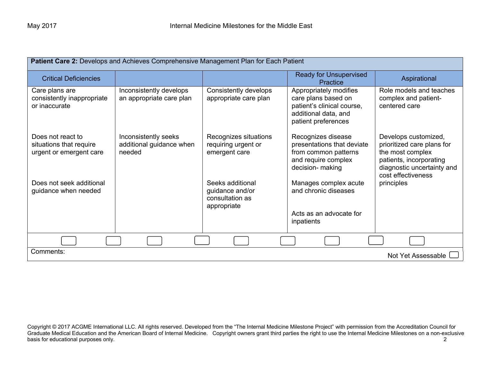| Patient Care 2: Develops and Achieves Comprehensive Management Plan for Each Patient |                                                            |                                                                       |                                                                                                                            |                                                                                                                                                       |
|--------------------------------------------------------------------------------------|------------------------------------------------------------|-----------------------------------------------------------------------|----------------------------------------------------------------------------------------------------------------------------|-------------------------------------------------------------------------------------------------------------------------------------------------------|
| <b>Critical Deficiencies</b>                                                         |                                                            |                                                                       | <b>Ready for Unsupervised</b><br><b>Practice</b>                                                                           | Aspirational                                                                                                                                          |
| Care plans are<br>consistently inappropriate<br>or inaccurate                        | Inconsistently develops<br>an appropriate care plan        | Consistently develops<br>appropriate care plan                        | Appropriately modifies<br>care plans based on<br>patient's clinical course,<br>additional data, and<br>patient preferences | Role models and teaches<br>complex and patient-<br>centered care                                                                                      |
| Does not react to<br>situations that require<br>urgent or emergent care              | Inconsistently seeks<br>additional guidance when<br>needed | Recognizes situations<br>requiring urgent or<br>emergent care         | Recognizes disease<br>presentations that deviate<br>from common patterns<br>and require complex<br>decision- making        | Develops customized,<br>prioritized care plans for<br>the most complex<br>patients, incorporating<br>diagnostic uncertainty and<br>cost effectiveness |
| Does not seek additional<br>guidance when needed                                     |                                                            | Seeks additional<br>guidance and/or<br>consultation as<br>appropriate | Manages complex acute<br>and chronic diseases<br>Acts as an advocate for<br>inpatients                                     | principles                                                                                                                                            |
|                                                                                      |                                                            |                                                                       |                                                                                                                            |                                                                                                                                                       |
| Comments:<br>Not Yet Assessable I                                                    |                                                            |                                                                       |                                                                                                                            |                                                                                                                                                       |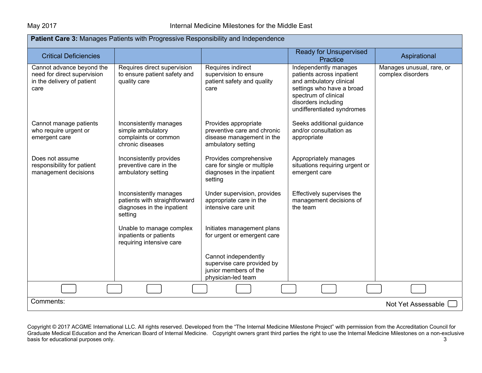| Patient Care 3: Manages Patients with Progressive Responsibility and Independence              |                                                                                                  |                                                                                                        |                                                                                                                                                                                         |                                                |  |
|------------------------------------------------------------------------------------------------|--------------------------------------------------------------------------------------------------|--------------------------------------------------------------------------------------------------------|-----------------------------------------------------------------------------------------------------------------------------------------------------------------------------------------|------------------------------------------------|--|
| <b>Critical Deficiencies</b>                                                                   |                                                                                                  |                                                                                                        | <b>Ready for Unsupervised</b><br>Practice                                                                                                                                               | Aspirational                                   |  |
| Cannot advance beyond the<br>need for direct supervision<br>in the delivery of patient<br>care | Requires direct supervision<br>to ensure patient safety and<br>quality care                      | Requires indirect<br>supervision to ensure<br>patient safety and quality<br>care                       | Independently manages<br>patients across inpatient<br>and ambulatory clinical<br>settings who have a broad<br>spectrum of clinical<br>disorders including<br>undifferentiated syndromes | Manages unusual, rare, or<br>complex disorders |  |
| Cannot manage patients<br>who require urgent or<br>emergent care                               | Inconsistently manages<br>simple ambulatory<br>complaints or common<br>chronic diseases          | Provides appropriate<br>preventive care and chronic<br>disease management in the<br>ambulatory setting | Seeks additional guidance<br>and/or consultation as<br>appropriate                                                                                                                      |                                                |  |
| Does not assume<br>responsibility for patient<br>management decisions                          | Inconsistently provides<br>preventive care in the<br>ambulatory setting                          | Provides comprehensive<br>care for single or multiple<br>diagnoses in the inpatient<br>setting         | Appropriately manages<br>situations requiring urgent or<br>emergent care                                                                                                                |                                                |  |
|                                                                                                | Inconsistently manages<br>patients with straightforward<br>diagnoses in the inpatient<br>setting | Under supervision, provides<br>appropriate care in the<br>intensive care unit                          | Effectively supervises the<br>management decisions of<br>the team                                                                                                                       |                                                |  |
|                                                                                                | Unable to manage complex<br>inpatients or patients<br>requiring intensive care                   | Initiates management plans<br>for urgent or emergent care                                              |                                                                                                                                                                                         |                                                |  |
|                                                                                                |                                                                                                  | Cannot independently<br>supervise care provided by<br>junior members of the<br>physician-led team      |                                                                                                                                                                                         |                                                |  |
|                                                                                                |                                                                                                  |                                                                                                        |                                                                                                                                                                                         |                                                |  |
| Comments:                                                                                      |                                                                                                  |                                                                                                        |                                                                                                                                                                                         | Not Yet Assessable                             |  |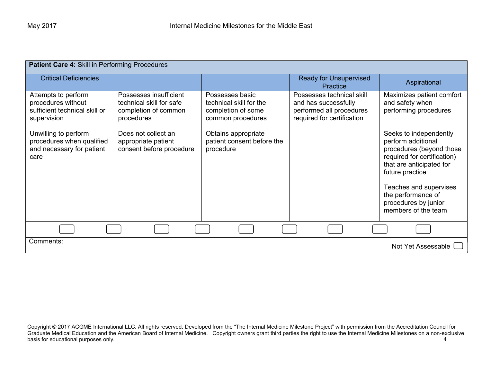| Patient Care 4: Skill in Performing Procedures                                            |                                                                                          |                                                                                       |                                                                                                             |                                                                                                                                                                                                                                                       |
|-------------------------------------------------------------------------------------------|------------------------------------------------------------------------------------------|---------------------------------------------------------------------------------------|-------------------------------------------------------------------------------------------------------------|-------------------------------------------------------------------------------------------------------------------------------------------------------------------------------------------------------------------------------------------------------|
| <b>Critical Deficiencies</b>                                                              |                                                                                          |                                                                                       | <b>Ready for Unsupervised</b><br><b>Practice</b>                                                            | Aspirational                                                                                                                                                                                                                                          |
| Attempts to perform<br>procedures without<br>sufficient technical skill or<br>supervision | Possesses insufficient<br>technical skill for safe<br>completion of common<br>procedures | Possesses basic<br>technical skill for the<br>completion of some<br>common procedures | Possesses technical skill<br>and has successfully<br>performed all procedures<br>required for certification | Maximizes patient comfort<br>and safety when<br>performing procedures                                                                                                                                                                                 |
| Unwilling to perform<br>procedures when qualified<br>and necessary for patient<br>care    | Does not collect an<br>appropriate patient<br>consent before procedure                   | Obtains appropriate<br>patient consent before the<br>procedure                        |                                                                                                             | Seeks to independently<br>perform additional<br>procedures (beyond those<br>required for certification)<br>that are anticipated for<br>future practice<br>Teaches and supervises<br>the performance of<br>procedures by junior<br>members of the team |
|                                                                                           |                                                                                          |                                                                                       |                                                                                                             |                                                                                                                                                                                                                                                       |
| Comments:                                                                                 |                                                                                          |                                                                                       |                                                                                                             | Not Yet Assessable                                                                                                                                                                                                                                    |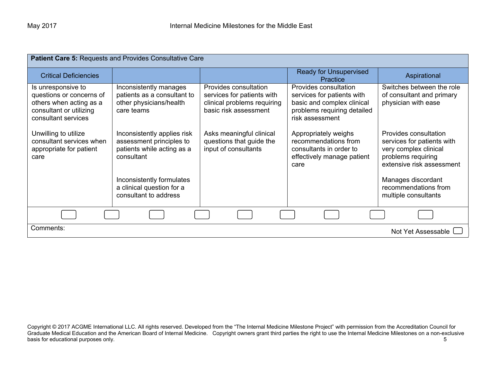| Patient Care 5: Requests and Provides Consultative Care                                                                     |                                                                                                     |                                                                                                             |                                                                                                                                     |                                                                                                                                 |  |
|-----------------------------------------------------------------------------------------------------------------------------|-----------------------------------------------------------------------------------------------------|-------------------------------------------------------------------------------------------------------------|-------------------------------------------------------------------------------------------------------------------------------------|---------------------------------------------------------------------------------------------------------------------------------|--|
| <b>Critical Deficiencies</b>                                                                                                |                                                                                                     |                                                                                                             | <b>Ready for Unsupervised</b><br>Practice                                                                                           | Aspirational                                                                                                                    |  |
| Is unresponsive to<br>questions or concerns of<br>others when acting as a<br>consultant or utilizing<br>consultant services | Inconsistently manages<br>patients as a consultant to<br>other physicians/health<br>care teams      | Provides consultation<br>services for patients with<br>clinical problems requiring<br>basic risk assessment | Provides consultation<br>services for patients with<br>basic and complex clinical<br>problems requiring detailed<br>risk assessment | Switches between the role<br>of consultant and primary<br>physician with ease                                                   |  |
| Unwilling to utilize<br>consultant services when<br>appropriate for patient<br>care                                         | Inconsistently applies risk<br>assessment principles to<br>patients while acting as a<br>consultant | Asks meaningful clinical<br>questions that guide the<br>input of consultants                                | Appropriately weighs<br>recommendations from<br>consultants in order to<br>effectively manage patient<br>care                       | Provides consultation<br>services for patients with<br>very complex clinical<br>problems requiring<br>extensive risk assessment |  |
|                                                                                                                             | Inconsistently formulates<br>a clinical question for a<br>consultant to address                     |                                                                                                             |                                                                                                                                     | Manages discordant<br>recommendations from<br>multiple consultants                                                              |  |
|                                                                                                                             |                                                                                                     |                                                                                                             |                                                                                                                                     |                                                                                                                                 |  |
| Comments:                                                                                                                   | Not Yet Assessable I                                                                                |                                                                                                             |                                                                                                                                     |                                                                                                                                 |  |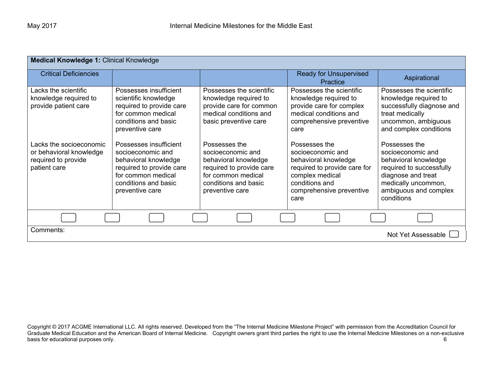| <b>Medical Knowledge 1: Clinical Knowledge</b>                                            |                                                                                                                                                                  |                                                                                                                                                         |                                                                                                                                                                     |                                                                                                                                                                            |
|-------------------------------------------------------------------------------------------|------------------------------------------------------------------------------------------------------------------------------------------------------------------|---------------------------------------------------------------------------------------------------------------------------------------------------------|---------------------------------------------------------------------------------------------------------------------------------------------------------------------|----------------------------------------------------------------------------------------------------------------------------------------------------------------------------|
| <b>Critical Deficiencies</b>                                                              |                                                                                                                                                                  |                                                                                                                                                         | <b>Ready for Unsupervised</b><br>Practice                                                                                                                           | Aspirational                                                                                                                                                               |
| Lacks the scientific<br>knowledge required to<br>provide patient care                     | Possesses insufficient<br>scientific knowledge<br>required to provide care<br>for common medical<br>conditions and basic<br>preventive care                      | Possesses the scientific<br>knowledge required to<br>provide care for common<br>medical conditions and<br>basic preventive care                         | Possesses the scientific<br>knowledge required to<br>provide care for complex<br>medical conditions and<br>comprehensive preventive<br>care                         | Possesses the scientific<br>knowledge required to<br>successfully diagnose and<br>treat medically<br>uncommon, ambiguous<br>and complex conditions                         |
| Lacks the socioeconomic<br>or behavioral knowledge<br>required to provide<br>patient care | Possesses insufficient<br>socioeconomic and<br>behavioral knowledge<br>required to provide care<br>for common medical<br>conditions and basic<br>preventive care | Possesses the<br>socioeconomic and<br>behavioral knowledge<br>required to provide care<br>for common medical<br>conditions and basic<br>preventive care | Possesses the<br>socioeconomic and<br>behavioral knowledge<br>required to provide care for<br>complex medical<br>conditions and<br>comprehensive preventive<br>care | Possesses the<br>socioeconomic and<br>behavioral knowledge<br>required to successfully<br>diagnose and treat<br>medically uncommon,<br>ambiguous and complex<br>conditions |
|                                                                                           |                                                                                                                                                                  |                                                                                                                                                         |                                                                                                                                                                     |                                                                                                                                                                            |
| Comments:                                                                                 |                                                                                                                                                                  |                                                                                                                                                         |                                                                                                                                                                     | Not Yet Assessable L                                                                                                                                                       |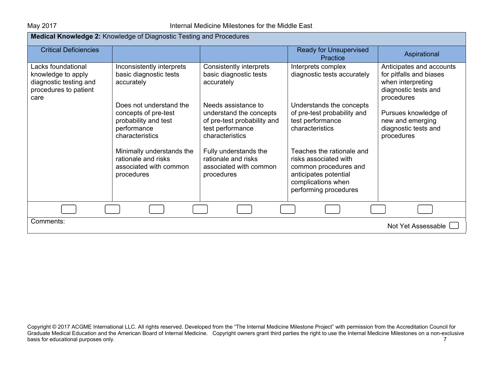| Medical Knowledge 2: Knowledge of Diagnostic Testing and Procedures                                 |                                                                                                           |                                                                                                                      |                                                                                                                                                     |                                                                                                                |
|-----------------------------------------------------------------------------------------------------|-----------------------------------------------------------------------------------------------------------|----------------------------------------------------------------------------------------------------------------------|-----------------------------------------------------------------------------------------------------------------------------------------------------|----------------------------------------------------------------------------------------------------------------|
| <b>Critical Deficiencies</b>                                                                        |                                                                                                           |                                                                                                                      | <b>Ready for Unsupervised</b><br>Practice                                                                                                           | Aspirational                                                                                                   |
| Lacks foundational<br>knowledge to apply<br>diagnostic testing and<br>procedures to patient<br>care | Inconsistently interprets<br>basic diagnostic tests<br>accurately                                         | Consistently interprets<br>basic diagnostic tests<br>accurately                                                      | Interprets complex<br>diagnostic tests accurately                                                                                                   | Anticipates and accounts<br>for pitfalls and biases<br>when interpreting<br>diagnostic tests and<br>procedures |
|                                                                                                     | Does not understand the<br>concepts of pre-test<br>probability and test<br>performance<br>characteristics | Needs assistance to<br>understand the concepts<br>of pre-test probability and<br>test performance<br>characteristics | Understands the concepts<br>of pre-test probability and<br>test performance<br>characteristics                                                      | Pursues knowledge of<br>new and emerging<br>diagnostic tests and<br>procedures                                 |
|                                                                                                     | Minimally understands the<br>rationale and risks<br>associated with common<br>procedures                  | Fully understands the<br>rationale and risks<br>associated with common<br>procedures                                 | Teaches the rationale and<br>risks associated with<br>common procedures and<br>anticipates potential<br>complications when<br>performing procedures |                                                                                                                |
|                                                                                                     |                                                                                                           |                                                                                                                      |                                                                                                                                                     |                                                                                                                |
| Comments:                                                                                           |                                                                                                           |                                                                                                                      |                                                                                                                                                     | Not Yet Assessable [                                                                                           |

Copyright © 2017 ACGME International LLC. All rights reserved. Developed from the "The Internal Medicine Milestone Project" with permission from the Accreditation Council for Graduate Medical Education and the American Board of Internal Medicine. Copyright owners grant third parties the right to use the Internal Medicine Milestones on a non-exclusive basis for educational purposes only. The contract of the contract of the contract of the contract of the contract of the contract of the contract of the contract of the contract of the contract of the contract of the contr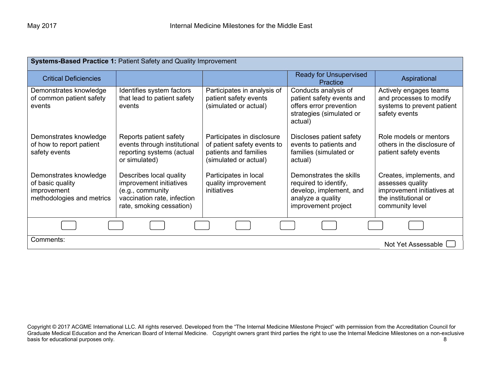| Systems-Based Practice 1: Patient Safety and Quality Improvement                       |                                                                                                                                   |                                                                                                             |                                                                                                                         |                                                                                                                       |  |
|----------------------------------------------------------------------------------------|-----------------------------------------------------------------------------------------------------------------------------------|-------------------------------------------------------------------------------------------------------------|-------------------------------------------------------------------------------------------------------------------------|-----------------------------------------------------------------------------------------------------------------------|--|
| <b>Critical Deficiencies</b>                                                           |                                                                                                                                   |                                                                                                             | <b>Ready for Unsupervised</b><br>Practice                                                                               | Aspirational                                                                                                          |  |
| Demonstrates knowledge<br>of common patient safety<br>events                           | Identifies system factors<br>that lead to patient safety<br>events                                                                | Participates in analysis of<br>patient safety events<br>(simulated or actual)                               | Conducts analysis of<br>patient safety events and<br>offers error prevention<br>strategies (simulated or<br>actual)     | Actively engages teams<br>and processes to modify<br>systems to prevent patient<br>safety events                      |  |
| Demonstrates knowledge<br>of how to report patient<br>safety events                    | Reports patient safety<br>events through institutional<br>reporting systems (actual<br>or simulated)                              | Participates in disclosure<br>of patient safety events to<br>patients and families<br>(simulated or actual) | Discloses patient safety<br>events to patients and<br>families (simulated or<br>actual)                                 | Role models or mentors<br>others in the disclosure of<br>patient safety events                                        |  |
| Demonstrates knowledge<br>of basic quality<br>improvement<br>methodologies and metrics | Describes local quality<br>improvement initiatives<br>(e.g., community<br>vaccination rate, infection<br>rate, smoking cessation) | Participates in local<br>quality improvement<br><i>initiatives</i>                                          | Demonstrates the skills<br>required to identify,<br>develop, implement, and<br>analyze a quality<br>improvement project | Creates, implements, and<br>assesses quality<br>improvement initiatives at<br>the institutional or<br>community level |  |
|                                                                                        |                                                                                                                                   |                                                                                                             |                                                                                                                         |                                                                                                                       |  |
| Comments:                                                                              | Not Yet Assessable                                                                                                                |                                                                                                             |                                                                                                                         |                                                                                                                       |  |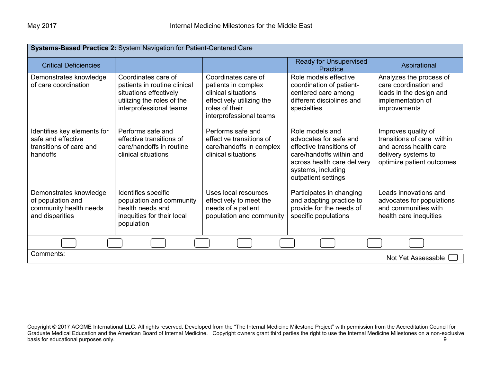| Systems-Based Practice 2: System Navigation for Patient-Centered Care                    |                                                                                                                                        |                                                                                                                                             |                                                                                                                                                                               |                                                                                                                                 |
|------------------------------------------------------------------------------------------|----------------------------------------------------------------------------------------------------------------------------------------|---------------------------------------------------------------------------------------------------------------------------------------------|-------------------------------------------------------------------------------------------------------------------------------------------------------------------------------|---------------------------------------------------------------------------------------------------------------------------------|
| <b>Critical Deficiencies</b>                                                             |                                                                                                                                        |                                                                                                                                             | <b>Ready for Unsupervised</b><br>Practice                                                                                                                                     | Aspirational                                                                                                                    |
| Demonstrates knowledge<br>of care coordination                                           | Coordinates care of<br>patients in routine clinical<br>situations effectively<br>utilizing the roles of the<br>interprofessional teams | Coordinates care of<br>patients in complex<br>clinical situations<br>effectively utilizing the<br>roles of their<br>interprofessional teams | Role models effective<br>coordination of patient-<br>centered care among<br>different disciplines and<br>specialties                                                          | Analyzes the process of<br>care coordination and<br>leads in the design and<br>implementation of<br>improvements                |
| Identifies key elements for<br>safe and effective<br>transitions of care and<br>handoffs | Performs safe and<br>effective transitions of<br>care/handoffs in routine<br>clinical situations                                       | Performs safe and<br>effective transitions of<br>care/handoffs in complex<br>clinical situations                                            | Role models and<br>advocates for safe and<br>effective transitions of<br>care/handoffs within and<br>across health care delivery<br>systems, including<br>outpatient settings | Improves quality of<br>transitions of care within<br>and across health care<br>delivery systems to<br>optimize patient outcomes |
| Demonstrates knowledge<br>of population and<br>community health needs<br>and disparities | Identifies specific<br>population and community<br>health needs and<br>inequities for their local<br>population                        | Uses local resources<br>effectively to meet the<br>needs of a patient<br>population and community                                           | Participates in changing<br>and adapting practice to<br>provide for the needs of<br>specific populations                                                                      | Leads innovations and<br>advocates for populations<br>and communities with<br>health care inequities                            |
|                                                                                          |                                                                                                                                        |                                                                                                                                             |                                                                                                                                                                               |                                                                                                                                 |
| Comments:<br>Not Yet Assessable                                                          |                                                                                                                                        |                                                                                                                                             |                                                                                                                                                                               |                                                                                                                                 |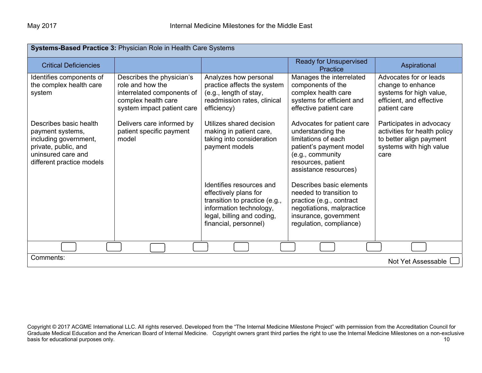| <b>Systems-Based Practice 3: Physician Role in Health Care Systems</b>                                                                         |                                                                                                                                  |                                                                                                                                                                      |                                                                                                                                                                      |                                                                                                                        |
|------------------------------------------------------------------------------------------------------------------------------------------------|----------------------------------------------------------------------------------------------------------------------------------|----------------------------------------------------------------------------------------------------------------------------------------------------------------------|----------------------------------------------------------------------------------------------------------------------------------------------------------------------|------------------------------------------------------------------------------------------------------------------------|
| <b>Critical Deficiencies</b>                                                                                                                   |                                                                                                                                  |                                                                                                                                                                      | <b>Ready for Unsupervised</b><br><b>Practice</b>                                                                                                                     | Aspirational                                                                                                           |
| Identifies components of<br>the complex health care<br>system                                                                                  | Describes the physician's<br>role and how the<br>interrelated components of<br>complex health care<br>system impact patient care | Analyzes how personal<br>practice affects the system<br>(e.g., length of stay,<br>readmission rates, clinical<br>efficiency)                                         | Manages the interrelated<br>components of the<br>complex health care<br>systems for efficient and<br>effective patient care                                          | Advocates for or leads<br>change to enhance<br>systems for high value,<br>efficient, and effective<br>patient care     |
| Describes basic health<br>payment systems,<br>including government,<br>private, public, and<br>uninsured care and<br>different practice models | Delivers care informed by<br>patient specific payment<br>model                                                                   | Utilizes shared decision<br>making in patient care,<br>taking into consideration<br>payment models                                                                   | Advocates for patient care<br>understanding the<br>limitations of each<br>patient's payment model<br>(e.g., community<br>resources, patient<br>assistance resources) | Participates in advocacy<br>activities for health policy<br>to better align payment<br>systems with high value<br>care |
|                                                                                                                                                |                                                                                                                                  | Identifies resources and<br>effectively plans for<br>transition to practice (e.g.,<br>information technology,<br>legal, billing and coding,<br>financial, personnel) | Describes basic elements<br>needed to transition to<br>practice (e.g., contract<br>negotiations, malpractice<br>insurance, government<br>regulation, compliance)     |                                                                                                                        |
|                                                                                                                                                |                                                                                                                                  |                                                                                                                                                                      |                                                                                                                                                                      |                                                                                                                        |
| Comments:<br>Not Yet Assessable                                                                                                                |                                                                                                                                  |                                                                                                                                                                      |                                                                                                                                                                      |                                                                                                                        |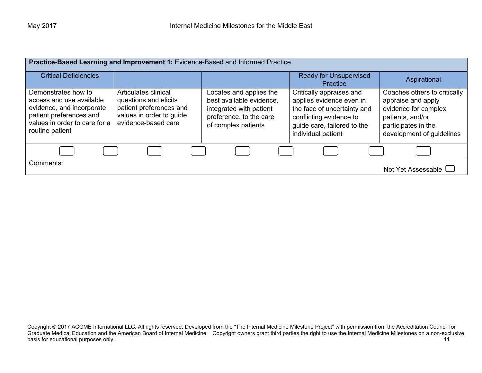| Practice-Based Learning and Improvement 1: Evidence-Based and Informed Practice                                                                             |                                                                                                                             |                                                                                                                                  |                                                                                                                                                                     |                                                                                                                                                    |
|-------------------------------------------------------------------------------------------------------------------------------------------------------------|-----------------------------------------------------------------------------------------------------------------------------|----------------------------------------------------------------------------------------------------------------------------------|---------------------------------------------------------------------------------------------------------------------------------------------------------------------|----------------------------------------------------------------------------------------------------------------------------------------------------|
| <b>Critical Deficiencies</b>                                                                                                                                |                                                                                                                             |                                                                                                                                  | <b>Ready for Unsupervised</b><br>Practice                                                                                                                           | Aspirational                                                                                                                                       |
| Demonstrates how to<br>access and use available<br>evidence, and incorporate<br>patient preferences and<br>values in order to care for a<br>routine patient | Articulates clinical<br>questions and elicits<br>patient preferences and<br>values in order to guide<br>evidence-based care | Locates and applies the<br>best available evidence,<br>integrated with patient<br>preference, to the care<br>of complex patients | Critically appraises and<br>applies evidence even in<br>the face of uncertainty and<br>conflicting evidence to<br>guide care, tailored to the<br>individual patient | Coaches others to critically<br>appraise and apply<br>evidence for complex<br>patients, and/or<br>participates in the<br>development of guidelines |
|                                                                                                                                                             |                                                                                                                             |                                                                                                                                  |                                                                                                                                                                     |                                                                                                                                                    |
| Comments:                                                                                                                                                   |                                                                                                                             |                                                                                                                                  |                                                                                                                                                                     | Not Yet Assessable L                                                                                                                               |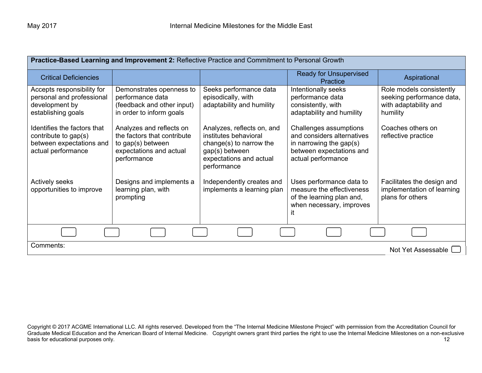| Practice-Based Learning and Improvement 2: Reflective Practice and Commitment to Personal Growth      |                                                                                                                        |                                                                                                                                            |                                                                                                                                      |                                                                                            |
|-------------------------------------------------------------------------------------------------------|------------------------------------------------------------------------------------------------------------------------|--------------------------------------------------------------------------------------------------------------------------------------------|--------------------------------------------------------------------------------------------------------------------------------------|--------------------------------------------------------------------------------------------|
| <b>Critical Deficiencies</b>                                                                          |                                                                                                                        |                                                                                                                                            | <b>Ready for Unsupervised</b><br>Practice                                                                                            | Aspirational                                                                               |
| Accepts responsibility for<br>personal and professional<br>development by<br>establishing goals       | Demonstrates openness to<br>performance data<br>(feedback and other input)<br>in order to inform goals                 | Seeks performance data<br>episodically, with<br>adaptability and humility                                                                  | Intentionally seeks<br>performance data<br>consistently, with<br>adaptability and humility                                           | Role models consistently<br>seeking performance data,<br>with adaptability and<br>humility |
| Identifies the factors that<br>contribute to gap(s)<br>between expectations and<br>actual performance | Analyzes and reflects on<br>the factors that contribute<br>to gap(s) between<br>expectations and actual<br>performance | Analyzes, reflects on, and<br>institutes behavioral<br>change(s) to narrow the<br>gap(s) between<br>expectations and actual<br>performance | Challenges assumptions<br>and considers alternatives<br>in narrowing the gap $(s)$<br>between expectations and<br>actual performance | Coaches others on<br>reflective practice                                                   |
| <b>Actively seeks</b><br>opportunities to improve                                                     | Designs and implements a<br>learning plan, with<br>prompting                                                           | Independently creates and<br>implements a learning plan                                                                                    | Uses performance data to<br>measure the effectiveness<br>of the learning plan and,<br>when necessary, improves<br>ıt                 | Facilitates the design and<br>implementation of learning<br>plans for others               |
|                                                                                                       |                                                                                                                        |                                                                                                                                            |                                                                                                                                      |                                                                                            |
| Comments:<br>Not Yet Assessable                                                                       |                                                                                                                        |                                                                                                                                            |                                                                                                                                      |                                                                                            |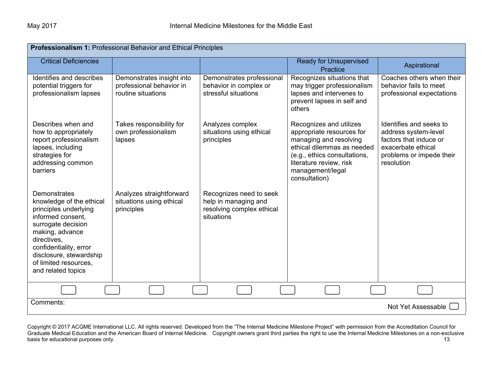| Professionalism 1: Professional Behavior and Ethical Principles                                                                                                                                                                                           |                                                                             |                                                                                            |                                                                                                                                                                                                              |                                                                                                                                           |
|-----------------------------------------------------------------------------------------------------------------------------------------------------------------------------------------------------------------------------------------------------------|-----------------------------------------------------------------------------|--------------------------------------------------------------------------------------------|--------------------------------------------------------------------------------------------------------------------------------------------------------------------------------------------------------------|-------------------------------------------------------------------------------------------------------------------------------------------|
| <b>Critical Deficiencies</b>                                                                                                                                                                                                                              |                                                                             |                                                                                            | <b>Ready for Unsupervised</b><br>Practice                                                                                                                                                                    | Aspirational                                                                                                                              |
| Identifies and describes<br>potential triggers for<br>professionalism lapses                                                                                                                                                                              | Demonstrates insight into<br>professional behavior in<br>routine situations | Demonstrates professional<br>behavior in complex or<br>stressful situations                | Recognizes situations that<br>may trigger professionalism<br>lapses and intervenes to<br>prevent lapses in self and<br>others                                                                                | Coaches others when their<br>behavior fails to meet<br>professional expectations                                                          |
| Describes when and<br>how to appropriately<br>report professionalism<br>lapses, including<br>strategies for<br>addressing common<br><b>barriers</b>                                                                                                       | Takes responsibility for<br>own professionalism<br>lapses                   | Analyzes complex<br>situations using ethical<br>principles                                 | Recognizes and utilizes<br>appropriate resources for<br>managing and resolving<br>ethical dilemmas as needed<br>(e.g., ethics consultations,<br>literature review, risk<br>management/legal<br>consultation) | Identifies and seeks to<br>address system-level<br>factors that induce or<br>exacerbate ethical<br>problems or impede their<br>resolution |
| <b>Demonstrates</b><br>knowledge of the ethical<br>principles underlying<br>informed consent,<br>surrogate decision<br>making, advance<br>directives,<br>confidentiality, error<br>disclosure, stewardship<br>of limited resources.<br>and related topics | Analyzes straightforward<br>situations using ethical<br>principles          | Recognizes need to seek<br>help in managing and<br>resolving complex ethical<br>situations |                                                                                                                                                                                                              |                                                                                                                                           |
|                                                                                                                                                                                                                                                           |                                                                             |                                                                                            |                                                                                                                                                                                                              |                                                                                                                                           |
| Comments:<br>Not Yet Assessable [                                                                                                                                                                                                                         |                                                                             |                                                                                            |                                                                                                                                                                                                              |                                                                                                                                           |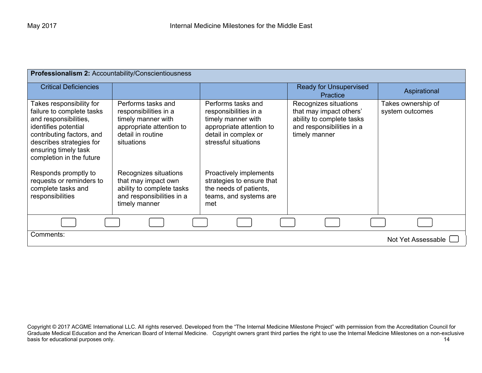| Professionalism 2: Accountability/Conscientiousness                                                                                                                                                                 |                                                                                                                                  |                                                                                                                                               |                                                                                                                             |                                       |
|---------------------------------------------------------------------------------------------------------------------------------------------------------------------------------------------------------------------|----------------------------------------------------------------------------------------------------------------------------------|-----------------------------------------------------------------------------------------------------------------------------------------------|-----------------------------------------------------------------------------------------------------------------------------|---------------------------------------|
| <b>Critical Deficiencies</b>                                                                                                                                                                                        |                                                                                                                                  |                                                                                                                                               | <b>Ready for Unsupervised</b><br><b>Practice</b>                                                                            | Aspirational                          |
| Takes responsibility for<br>failure to complete tasks<br>and responsibilities,<br>identifies potential<br>contributing factors, and<br>describes strategies for<br>ensuring timely task<br>completion in the future | Performs tasks and<br>responsibilities in a<br>timely manner with<br>appropriate attention to<br>detail in routine<br>situations | Performs tasks and<br>responsibilities in a<br>timely manner with<br>appropriate attention to<br>detail in complex or<br>stressful situations | Recognizes situations<br>that may impact others'<br>ability to complete tasks<br>and responsibilities in a<br>timely manner | Takes ownership of<br>system outcomes |
| Responds promptly to<br>requests or reminders to<br>complete tasks and<br>responsibilities                                                                                                                          | Recognizes situations<br>that may impact own<br>ability to complete tasks<br>and responsibilities in a<br>timely manner          | Proactively implements<br>strategies to ensure that<br>the needs of patients,<br>teams, and systems are<br>met                                |                                                                                                                             |                                       |
|                                                                                                                                                                                                                     |                                                                                                                                  |                                                                                                                                               |                                                                                                                             |                                       |
| Comments:<br>Not Yet Assessable L                                                                                                                                                                                   |                                                                                                                                  |                                                                                                                                               |                                                                                                                             |                                       |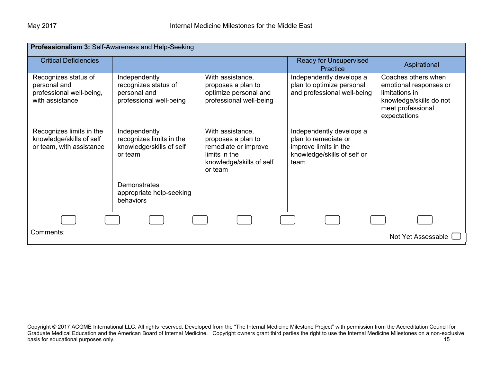| Professionalism 3: Self-Awareness and Help-Seeking                                  |                                                                                  |                                                                                                                        |                                                                                                                  |                                                                                                                                 |
|-------------------------------------------------------------------------------------|----------------------------------------------------------------------------------|------------------------------------------------------------------------------------------------------------------------|------------------------------------------------------------------------------------------------------------------|---------------------------------------------------------------------------------------------------------------------------------|
| <b>Critical Deficiencies</b>                                                        |                                                                                  |                                                                                                                        | <b>Ready for Unsupervised</b><br>Practice                                                                        | Aspirational                                                                                                                    |
| Recognizes status of<br>personal and<br>professional well-being,<br>with assistance | Independently<br>recognizes status of<br>personal and<br>professional well-being | With assistance,<br>proposes a plan to<br>optimize personal and<br>professional well-being                             | Independently develops a<br>plan to optimize personal<br>and professional well-being                             | Coaches others when<br>emotional responses or<br>limitations in<br>knowledge/skills do not<br>meet professional<br>expectations |
| Recognizes limits in the<br>knowledge/skills of self<br>or team, with assistance    | Independently<br>recognizes limits in the<br>knowledge/skills of self<br>or team | With assistance,<br>proposes a plan to<br>remediate or improve<br>limits in the<br>knowledge/skills of self<br>or team | Independently develops a<br>plan to remediate or<br>improve limits in the<br>knowledge/skills of self or<br>team |                                                                                                                                 |
|                                                                                     | Demonstrates<br>appropriate help-seeking<br>behaviors                            |                                                                                                                        |                                                                                                                  |                                                                                                                                 |
|                                                                                     |                                                                                  |                                                                                                                        |                                                                                                                  |                                                                                                                                 |
| Comments:<br>Not Yet Assessable                                                     |                                                                                  |                                                                                                                        |                                                                                                                  |                                                                                                                                 |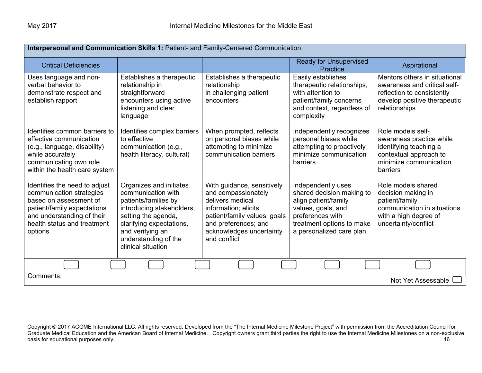| Interpersonal and Communication Skills 1: Patient- and Family-Centered Communication                                                                                                       |                                                                                                                                                                                                                         |                                                                                                                                                                                                   |                                                                                                                                                                            |                                                                                                                                              |
|--------------------------------------------------------------------------------------------------------------------------------------------------------------------------------------------|-------------------------------------------------------------------------------------------------------------------------------------------------------------------------------------------------------------------------|---------------------------------------------------------------------------------------------------------------------------------------------------------------------------------------------------|----------------------------------------------------------------------------------------------------------------------------------------------------------------------------|----------------------------------------------------------------------------------------------------------------------------------------------|
| <b>Critical Deficiencies</b>                                                                                                                                                               |                                                                                                                                                                                                                         |                                                                                                                                                                                                   | <b>Ready for Unsupervised</b><br><b>Practice</b>                                                                                                                           | Aspirational                                                                                                                                 |
| Uses language and non-<br>verbal behavior to<br>demonstrate respect and<br>establish rapport                                                                                               | Establishes a therapeutic<br>relationship in<br>straightforward<br>encounters using active<br>listening and clear<br>language                                                                                           | Establishes a therapeutic<br>relationship<br>in challenging patient<br>encounters                                                                                                                 | Easily establishes<br>therapeutic relationships,<br>with attention to<br>patient/family concerns<br>and context, regardless of<br>complexity                               | Mentors others in situational<br>awareness and critical self-<br>reflection to consistently<br>develop positive therapeutic<br>relationships |
| Identifies common barriers to<br>effective communication<br>(e.g., language, disability)<br>while accurately<br>communicating own role<br>within the health care system                    | Identifies complex barriers<br>to effective<br>communication (e.g.,<br>health literacy, cultural)                                                                                                                       | When prompted, reflects<br>on personal biases while<br>attempting to minimize<br>communication barriers                                                                                           | Independently recognizes<br>personal biases while<br>attempting to proactively<br>minimize communication<br>barriers                                                       | Role models self-<br>awareness practice while<br>identifying teaching a<br>contextual approach to<br>minimize communication<br>barriers      |
| Identifies the need to adjust<br>communication strategies<br>based on assessment of<br>patient/family expectations<br>and understanding of their<br>health status and treatment<br>options | Organizes and initiates<br>communication with<br>patients/families by<br>introducing stakeholders,<br>setting the agenda,<br>clarifying expectations,<br>and verifying an<br>understanding of the<br>clinical situation | With guidance, sensitively<br>and compassionately<br>delivers medical<br>information; elicits<br>patient/family values, goals<br>and preferences; and<br>acknowledges uncertainty<br>and conflict | Independently uses<br>shared decision making to<br>align patient/family<br>values, goals, and<br>preferences with<br>treatment options to make<br>a personalized care plan | Role models shared<br>decision making in<br>patient/family<br>communication in situations<br>with a high degree of<br>uncertainty/conflict   |
|                                                                                                                                                                                            |                                                                                                                                                                                                                         |                                                                                                                                                                                                   |                                                                                                                                                                            |                                                                                                                                              |
| Comments:<br>Not Yet Assessable                                                                                                                                                            |                                                                                                                                                                                                                         |                                                                                                                                                                                                   |                                                                                                                                                                            |                                                                                                                                              |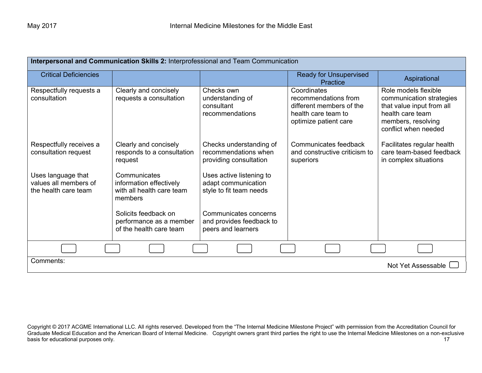| Interpersonal and Communication Skills 2: Interprofessional and Team Communication |                                                                                 |                                                                            |                                                                                                                 |                                                                                                                                                 |
|------------------------------------------------------------------------------------|---------------------------------------------------------------------------------|----------------------------------------------------------------------------|-----------------------------------------------------------------------------------------------------------------|-------------------------------------------------------------------------------------------------------------------------------------------------|
| <b>Critical Deficiencies</b>                                                       |                                                                                 |                                                                            | <b>Ready for Unsupervised</b><br><b>Practice</b>                                                                | Aspirational                                                                                                                                    |
| Respectfully requests a<br>consultation                                            | Clearly and concisely<br>requests a consultation                                | Checks own<br>understanding of<br>consultant<br>recommendations            | Coordinates<br>recommendations from<br>different members of the<br>health care team to<br>optimize patient care | Role models flexible<br>communication strategies<br>that value input from all<br>health care team<br>members, resolving<br>conflict when needed |
| Respectfully receives a<br>consultation request                                    | Clearly and concisely<br>responds to a consultation<br>request                  | Checks understanding of<br>recommendations when<br>providing consultation  | Communicates feedback<br>and constructive criticism to<br>superiors                                             | Facilitates regular health<br>care team-based feedback<br>in complex situations                                                                 |
| Uses language that<br>values all members of<br>the health care team                | Communicates<br>information effectively<br>with all health care team<br>members | Uses active listening to<br>adapt communication<br>style to fit team needs |                                                                                                                 |                                                                                                                                                 |
|                                                                                    | Solicits feedback on<br>performance as a member<br>of the health care team      | Communicates concerns<br>and provides feedback to<br>peers and learners    |                                                                                                                 |                                                                                                                                                 |
|                                                                                    |                                                                                 |                                                                            |                                                                                                                 |                                                                                                                                                 |
| Comments:<br>Not Yet Assessable                                                    |                                                                                 |                                                                            |                                                                                                                 |                                                                                                                                                 |